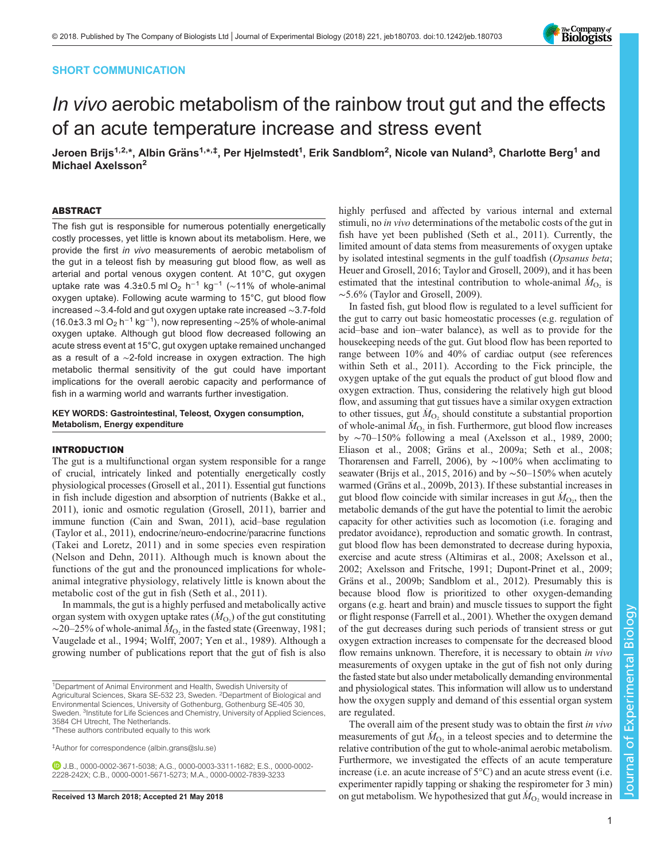# SHORT COMMUNICATION



# In vivo aerobic metabolism of the rainbow trout gut and the effects of an acute temperature increase and stress event

Jeroen Brijs<sup>1,2,</sup>\*, Albin Gräns<sup>1,</sup>\*<sup>,‡</sup>, Per Hjelmstedt<sup>1</sup>, Erik Sandblom<sup>2</sup>, Nicole van Nuland<sup>3</sup>, Charlotte Berg<sup>1</sup> and Michael Axelsson<sup>2</sup>

## ABSTRACT

The fish gut is responsible for numerous potentially energetically costly processes, yet little is known about its metabolism. Here, we provide the first in vivo measurements of aerobic metabolism of the gut in a teleost fish by measuring gut blood flow, as well as arterial and portal venous oxygen content. At 10°C, gut oxygen uptake rate was 4.3±0.5 ml O<sub>2</sub> h<sup>-1</sup> kg<sup>-1</sup> (~11% of whole-animal oxygen uptake). Following acute warming to 15°C, gut blood flow increased ∼3.4-fold and gut oxygen uptake rate increased ∼3.7-fold (16.0±3.3 ml O<sub>2</sub> h<sup>-1</sup> kg<sup>-1</sup>), now representing ~25% of whole-animal oxygen uptake. Although gut blood flow decreased following an acute stress event at 15°C, gut oxygen uptake remained unchanged as a result of a ∼2-fold increase in oxygen extraction. The high metabolic thermal sensitivity of the gut could have important implications for the overall aerobic capacity and performance of fish in a warming world and warrants further investigation.

# KEY WORDS: Gastrointestinal, Teleost, Oxygen consumption, Metabolism, Energy expenditure

#### INTRODUCTION

The gut is a multifunctional organ system responsible for a range of crucial, intricately linked and potentially energetically costly physiological processes [\(Grosell et al., 2011\)](#page-5-0). Essential gut functions in fish include digestion and absorption of nutrients [\(Bakke et al.,](#page-5-0) [2011](#page-5-0)), ionic and osmotic regulation [\(Grosell, 2011](#page-5-0)), barrier and immune function ([Cain and Swan, 2011](#page-5-0)), acid–base regulation [\(Taylor et al., 2011\)](#page-5-0), endocrine/neuro-endocrine/paracrine functions [\(Takei and Loretz, 2011](#page-5-0)) and in some species even respiration [\(Nelson and Dehn, 2011](#page-5-0)). Although much is known about the functions of the gut and the pronounced implications for wholeanimal integrative physiology, relatively little is known about the metabolic cost of the gut in fish [\(Seth et al., 2011\)](#page-5-0).

In mammals, the gut is a highly perfused and metabolically active organ system with oxygen uptake rates  $(M<sub>O2</sub>)$  of the gut constituting  $\sim$ 20–25% of whole-animal  $M_{\text{O}_2}$  in the fasted state [\(Greenway, 1981](#page-5-0); [Vaugelade et al., 1994; Wolff, 2007](#page-5-0); [Yen et al., 1989\)](#page-5-0). Although a growing number of publications report that the gut of fish is also

\*These authors contributed equally to this work

‡ Author for correspondence ([albin.grans@slu.se\)](mailto:albin.grans@slu.se)

highly perfused and affected by various internal and external stimuli, no in vivo determinations of the metabolic costs of the gut in fish have yet been published ([Seth et al., 2011](#page-5-0)). Currently, the limited amount of data stems from measurements of oxygen uptake by isolated intestinal segments in the gulf toadfish (Opsanus beta; [Heuer and Grosell, 2016](#page-5-0); [Taylor and Grosell, 2009](#page-5-0)), and it has been estimated that the intestinal contribution to whole-animal  $\dot{M}_{\text{O}_2}$  is ∼5.6% ([Taylor and Grosell, 2009\)](#page-5-0).

In fasted fish, gut blood flow is regulated to a level sufficient for the gut to carry out basic homeostatic processes (e.g. regulation of acid–base and ion–water balance), as well as to provide for the housekeeping needs of the gut. Gut blood flow has been reported to range between 10% and 40% of cardiac output (see references within [Seth et al., 2011](#page-5-0)). According to the Fick principle, the oxygen uptake of the gut equals the product of gut blood flow and oxygen extraction. Thus, considering the relatively high gut blood flow, and assuming that gut tissues have a similar oxygen extraction to other tissues, gut  $\dot{M}_{\text{O}_2}$  should constitute a substantial proportion of whole-animal  $\dot{M}_{\text{O}_2}$  in fish. Furthermore, gut blood flow increases by ∼70–150% following a meal [\(Axelsson et al., 1989](#page-5-0), [2000](#page-5-0); [Eliason et al., 2008](#page-5-0); [Gräns et al., 2009a; Seth et al., 2008](#page-5-0); [Thorarensen and Farrell, 2006\)](#page-5-0), by ∼100% when acclimating to seawater ([Brijs et al., 2015](#page-5-0), [2016\)](#page-5-0) and by ~50–150% when acutely warmed [\(Gräns et al., 2009b, 2013](#page-5-0)). If these substantial increases in gut blood flow coincide with similar increases in gut  $\dot{M}_{\text{O}_2}$ , then the metabolic demands of the gut have the potential to limit the aerobic capacity for other activities such as locomotion (i.e. foraging and predator avoidance), reproduction and somatic growth. In contrast, gut blood flow has been demonstrated to decrease during hypoxia, exercise and acute stress ([Altimiras et al., 2008](#page-4-0); [Axelsson et al.,](#page-5-0) [2002;](#page-5-0) [Axelsson and Fritsche, 1991;](#page-4-0) [Dupont-Prinet et al., 2009](#page-5-0); [Gräns et al., 2009b](#page-5-0); [Sandblom et al., 2012\)](#page-5-0). Presumably this is because blood flow is prioritized to other oxygen-demanding organs (e.g. heart and brain) and muscle tissues to support the fight or flight response ([Farrell et al., 2001](#page-5-0)). Whether the oxygen demand of the gut decreases during such periods of transient stress or gut oxygen extraction increases to compensate for the decreased blood flow remains unknown. Therefore, it is necessary to obtain *in vivo* measurements of oxygen uptake in the gut of fish not only during the fasted state but also under metabolically demanding environmental and physiological states. This information will allow us to understand how the oxygen supply and demand of this essential organ system are regulated.

The overall aim of the present study was to obtain the first *in vivo* measurements of gut  $\dot{M}_{\text{O}_2}$  in a teleost species and to determine the relative contribution of the gut to whole-animal aerobic metabolism. Furthermore, we investigated the effects of an acute temperature increase (i.e. an acute increase of 5°C) and an acute stress event (i.e. experimenter rapidly tapping or shaking the respirometer for 3 min) **Received 13 March 2018; Accepted 21 May 2018** on gut metabolism. We hypothesized that gut  $M<sub>O</sub>$ , would increase in

<sup>&</sup>lt;sup>1</sup>Department of Animal Environment and Health, Swedish University of Agricultural Sciences, Skara SE-532 23, Sweden. <sup>2</sup>Department of Biological and Environmental Sciences, University of Gothenburg, Gothenburg SE-405 30, Sweden. <sup>3</sup>Institute for Life Sciences and Chemistry, University of Applied Sciences, 3584 CH Utrecht, The Netherlands.

J.B., [0000-0002-3671-5038;](http://orcid.org/0000-0002-3671-5038) A.G., [0000-0003-3311-1682](http://orcid.org/0000-0003-3311-1682); E.S., [0000-0002-](http://orcid.org/0000-0002-2228-242X) [2228-242X;](http://orcid.org/0000-0002-2228-242X) C.B., [0000-0001-5671-5273;](http://orcid.org/0000-0001-5671-5273) M.A., [0000-0002-7839-3233](http://orcid.org/0000-0002-7839-3233)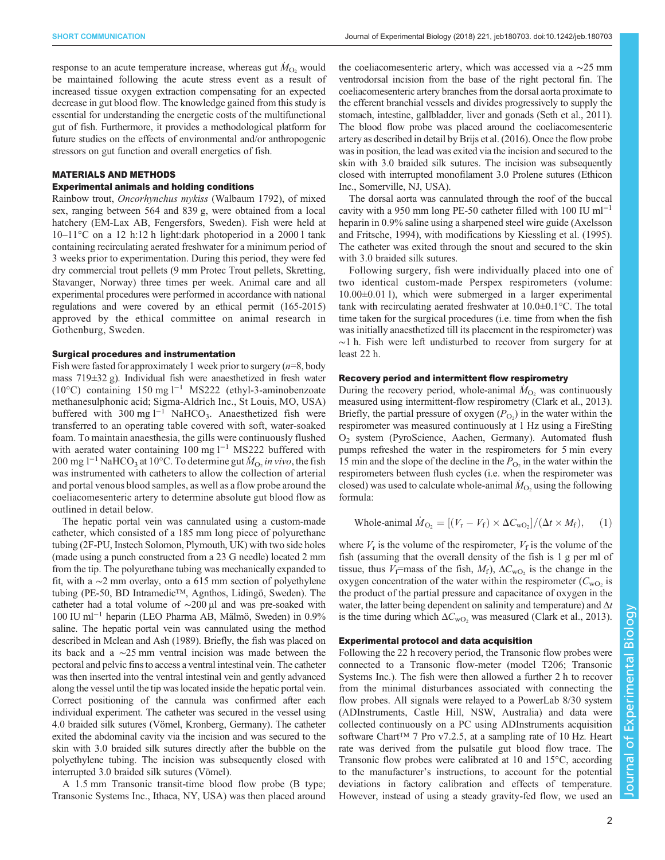response to an acute temperature increase, whereas gut  $\dot{M}_{\text{O}_2}$  would be maintained following the acute stress event as a result of increased tissue oxygen extraction compensating for an expected decrease in gut blood flow. The knowledge gained from this study is essential for understanding the energetic costs of the multifunctional gut of fish. Furthermore, it provides a methodological platform for future studies on the effects of environmental and/or anthropogenic stressors on gut function and overall energetics of fish.

## MATERIALS AND METHODS

# Experimental animals and holding conditions

Rainbow trout, Oncorhynchus mykiss (Walbaum 1792), of mixed sex, ranging between 564 and 839 g, were obtained from a local hatchery (EM-Lax AB, Fengersfors, Sweden). Fish were held at 10–11°C on a 12 h:12 h light:dark photoperiod in a 2000 l tank containing recirculating aerated freshwater for a minimum period of 3 weeks prior to experimentation. During this period, they were fed dry commercial trout pellets (9 mm Protec Trout pellets, Skretting, Stavanger, Norway) three times per week. Animal care and all experimental procedures were performed in accordance with national regulations and were covered by an ethical permit (165-2015) approved by the ethical committee on animal research in Gothenburg, Sweden.

#### Surgical procedures and instrumentation

Fish were fasted for approximately 1 week prior to surgery  $(n=8, body)$ mass 719±32 g). Individual fish were anaesthetized in fresh water (10°C) containing 150 mg l−<sup>1</sup> MS222 (ethyl-3-aminobenzoate methanesulphonic acid; Sigma-Aldrich Inc., St Louis, MO, USA) buffered with 300 mg  $l^{-1}$  NaHCO<sub>3</sub>. Anaesthetized fish were transferred to an operating table covered with soft, water-soaked foam. To maintain anaesthesia, the gills were continuously flushed with aerated water containing 100 mg  $l^{-1}$  MS222 buffered with 200 mg l<sup>-1</sup> NaHCO<sub>3</sub> at 10°C. To determine gut  $\dot{M}_{\text{O}_2}$  in vivo, the fish was instrumented with catheters to allow the collection of arterial and portal venous blood samples, as well as a flow probe around the coeliacomesenteric artery to determine absolute gut blood flow as outlined in detail below.

The hepatic portal vein was cannulated using a custom-made catheter, which consisted of a 185 mm long piece of polyurethane tubing (2F-PU, Instech Solomon, Plymouth, UK) with two side holes (made using a punch constructed from a 23 G needle) located 2 mm from the tip. The polyurethane tubing was mechanically expanded to fit, with a ∼2 mm overlay, onto a 615 mm section of polyethylene tubing (PE-50, BD Intramedic™, Agnthos, Lidingö, Sweden). The catheter had a total volume of ∼200 µl and was pre-soaked with 100 IU ml−<sup>1</sup> heparin (LEO Pharma AB, Mälmö, Sweden) in 0.9% saline. The hepatic portal vein was cannulated using the method described in [Mclean and Ash \(1989\)](#page-5-0). Briefly, the fish was placed on its back and a ∼25 mm ventral incision was made between the pectoral and pelvic fins to access a ventral intestinal vein. The catheter was then inserted into the ventral intestinal vein and gently advanced along the vessel until the tip was located inside the hepatic portal vein. Correct positioning of the cannula was confirmed after each individual experiment. The catheter was secured in the vessel using 4.0 braided silk sutures (Vömel, Kronberg, Germany). The catheter exited the abdominal cavity via the incision and was secured to the skin with 3.0 braided silk sutures directly after the bubble on the polyethylene tubing. The incision was subsequently closed with interrupted 3.0 braided silk sutures (Vömel).

A 1.5 mm Transonic transit-time blood flow probe (B type; Transonic Systems Inc., Ithaca, NY, USA) was then placed around the coeliacomesenteric artery, which was accessed via a ∼25 mm ventrodorsal incision from the base of the right pectoral fin. The coeliacomesenteric artery branches from the dorsal aorta proximate to the efferent branchial vessels and divides progressively to supply the stomach, intestine, gallbladder, liver and gonads [\(Seth et al., 2011\)](#page-5-0). The blood flow probe was placed around the coeliacomesenteric artery as described in detail by [Brijs et al. \(2016\)](#page-5-0). Once the flow probe was in position, the lead was exited via the incision and secured to the skin with 3.0 braided silk sutures. The incision was subsequently closed with interrupted monofilament 3.0 Prolene sutures (Ethicon Inc., Somerville, NJ, USA).

The dorsal aorta was cannulated through the roof of the buccal cavity with a 950 mm long PE-50 catheter filled with 100 IU ml−<sup>1</sup> heparin in 0.9% saline using a sharpened steel wire guide ([Axelsson](#page-5-0) [and Fritsche, 1994\)](#page-5-0), with modifications by [Kiessling et al. \(1995\).](#page-5-0) The catheter was exited through the snout and secured to the skin with 3.0 braided silk sutures.

Following surgery, fish were individually placed into one of two identical custom-made Perspex respirometers (volume: 10.00±0.01 l), which were submerged in a larger experimental tank with recirculating aerated freshwater at 10.0±0.1°C. The total time taken for the surgical procedures (i.e. time from when the fish was initially anaesthetized till its placement in the respirometer) was ∼1 h. Fish were left undisturbed to recover from surgery for at least 22 h.

## Recovery period and intermittent flow respirometry

During the recovery period, whole-animal  $\dot{M}_{O_2}$  was continuously measured using intermittent-flow respirometry ([Clark et al., 2013\)](#page-5-0). Briefly, the partial pressure of oxygen  $(P<sub>O2</sub>)$  in the water within the respirometer was measured continuously at 1 Hz using a FireSting O2 system (PyroScience, Aachen, Germany). Automated flush pumps refreshed the water in the respirometers for 5 min every 15 min and the slope of the decline in the  $P_{\text{O}_2}$  in the water within the respirometers between flush cycles (i.e. when the respirometer was closed) was used to calculate whole-animal  $\dot{M}_{\text{O}_2}$  using the following formula:

Whole-animal 
$$
\dot{M}_{\text{O}_2} = [(V_{\text{r}} - V_{\text{f}}) \times \Delta C_{\text{wO}_2}]/(\Delta t \times M_{\text{f}}),
$$
 (1)

where  $V_r$  is the volume of the respirometer,  $V_f$  is the volume of the fish (assuming that the overall density of the fish is 1 g per ml of tissue, thus  $V_f$ =mass of the fish,  $M_f$ ),  $\Delta C_{\text{WO}}$ , is the change in the oxygen concentration of the water within the respirometer  $(C_{\text{wO}_2}$  is the product of the partial pressure and capacitance of oxygen in the water, the latter being dependent on salinity and temperature) and  $\Delta t$ is the time during which  $\Delta C_{\text{WO}_2}$  was measured ([Clark et al., 2013\)](#page-5-0).

## Experimental protocol and data acquisition

Following the 22 h recovery period, the Transonic flow probes were connected to a Transonic flow-meter (model T206; Transonic Systems Inc.). The fish were then allowed a further 2 h to recover from the minimal disturbances associated with connecting the flow probes. All signals were relayed to a PowerLab 8/30 system (ADInstruments, Castle Hill, NSW, Australia) and data were collected continuously on a PC using ADInstruments acquisition software Chart<sup>™</sup> 7 Pro v7.2.5, at a sampling rate of 10 Hz. Heart rate was derived from the pulsatile gut blood flow trace. The Transonic flow probes were calibrated at 10 and 15°C, according to the manufacturer's instructions, to account for the potential deviations in factory calibration and effects of temperature. However, instead of using a steady gravity-fed flow, we used an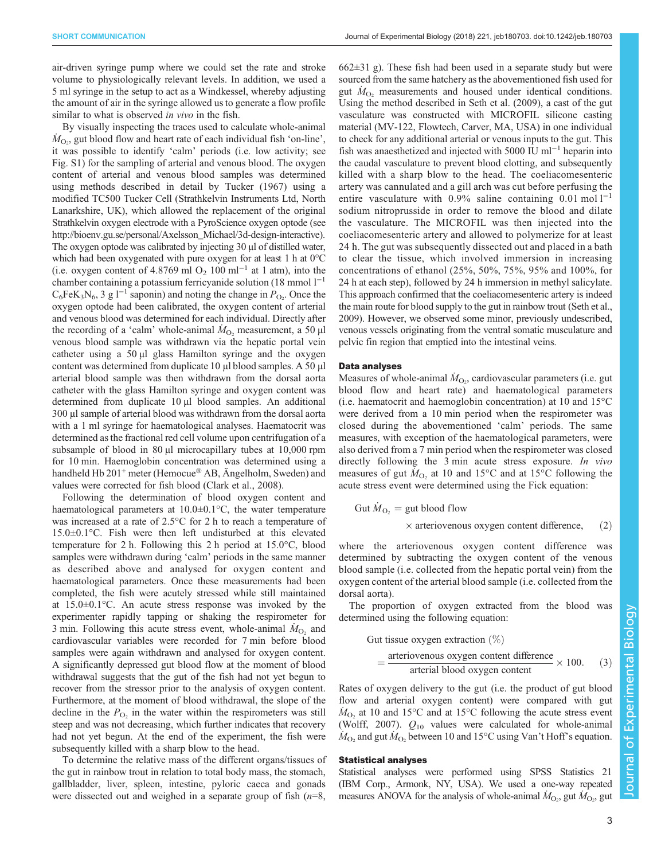air-driven syringe pump where we could set the rate and stroke volume to physiologically relevant levels. In addition, we used a 5 ml syringe in the setup to act as a Windkessel, whereby adjusting the amount of air in the syringe allowed us to generate a flow profile similar to what is observed *in vivo* in the fish.

By visually inspecting the traces used to calculate whole-animal  $\dot{M}_{\text{O}_2}$ , gut blood flow and heart rate of each individual fish 'on-line', it was possible to identify 'calm' periods (i.e. low activity; see [Fig. S1](http://jeb.biologists.org/lookup/doi/10.1242/jeb.180703.supplemental)) for the sampling of arterial and venous blood. The oxygen content of arterial and venous blood samples was determined using methods described in detail by [Tucker \(1967\)](#page-5-0) using a modified TC500 Tucker Cell (Strathkelvin Instruments Ltd, North Lanarkshire, UK), which allowed the replacement of the original Strathkelvin oxygen electrode with a PyroScience oxygen optode (see [http://bioenv.gu.se/personal/Axelsson\\_Michael/3d-design-interactive](http://bioenv.gu.se/personal/Axelsson_Michael/3d-design-interactive)). The oxygen optode was calibrated by injecting 30 µl of distilled water, which had been oxygenated with pure oxygen for at least 1 h at 0°C (i.e. oxygen content of 4.8769 ml O<sub>2</sub> 100 ml<sup>-1</sup> at 1 atm), into the chamber containing a potassium ferricyanide solution (18 mmol  $1^{-1}$ )  $C_6$ FeK<sub>3</sub>N<sub>6</sub>, 3 g l<sup>-1</sup> saponin) and noting the change in P<sub>O2</sub>. Once the oxygen optode had been calibrated, the oxygen content of arterial and venous blood was determined for each individual. Directly after the recording of a 'calm' whole-animal  $\dot{M}_{\text{O}_2}$  measurement, a 50 µl venous blood sample was withdrawn via the hepatic portal vein catheter using a 50 µl glass Hamilton syringe and the oxygen content was determined from duplicate 10 µl blood samples. A 50 µl arterial blood sample was then withdrawn from the dorsal aorta catheter with the glass Hamilton syringe and oxygen content was determined from duplicate 10 µl blood samples. An additional 300 µl sample of arterial blood was withdrawn from the dorsal aorta with a 1 ml syringe for haematological analyses. Haematocrit was determined as the fractional red cell volume upon centrifugation of a subsample of blood in 80 µl microcapillary tubes at 10,000 rpm for 10 min. Haemoglobin concentration was determined using a handheld Hb 201<sup>+</sup> meter (Hemocue<sup>®</sup> AB, Ängelholm, Sweden) and values were corrected for fish blood [\(Clark et al., 2008](#page-5-0)).

Following the determination of blood oxygen content and haematological parameters at 10.0±0.1°C, the water temperature was increased at a rate of 2.5°C for 2 h to reach a temperature of 15.0±0.1°C. Fish were then left undisturbed at this elevated temperature for 2 h. Following this 2 h period at 15.0°C, blood samples were withdrawn during 'calm' periods in the same manner as described above and analysed for oxygen content and haematological parameters. Once these measurements had been completed, the fish were acutely stressed while still maintained at 15.0±0.1°C. An acute stress response was invoked by the experimenter rapidly tapping or shaking the respirometer for 3 min. Following this acute stress event, whole-animal  $\dot{M}_{\text{O}_2}$  and cardiovascular variables were recorded for 7 min before blood samples were again withdrawn and analysed for oxygen content. A significantly depressed gut blood flow at the moment of blood withdrawal suggests that the gut of the fish had not yet begun to recover from the stressor prior to the analysis of oxygen content. Furthermore, at the moment of blood withdrawal, the slope of the decline in the  $P_{\text{O}_2}$  in the water within the respirometers was still steep and was not decreasing, which further indicates that recovery had not yet begun. At the end of the experiment, the fish were subsequently killed with a sharp blow to the head.

To determine the relative mass of the different organs/tissues of the gut in rainbow trout in relation to total body mass, the stomach, gallbladder, liver, spleen, intestine, pyloric caeca and gonads were dissected out and weighed in a separate group of fish  $(n=8,$ 

662±31 g). These fish had been used in a separate study but were sourced from the same hatchery as the abovementioned fish used for gut  $\dot{M}_{\text{O}_2}$  measurements and housed under identical conditions. Using the method described in [Seth et al. \(2009\),](#page-5-0) a cast of the gut vasculature was constructed with MICROFIL silicone casting material (MV-122, Flowtech, Carver, MA, USA) in one individual to check for any additional arterial or venous inputs to the gut. This fish was anaesthetized and injected with 5000 IU ml<sup>-1</sup> heparin into the caudal vasculature to prevent blood clotting, and subsequently killed with a sharp blow to the head. The coeliacomesenteric artery was cannulated and a gill arch was cut before perfusing the entire vasculature with 0.9% saline containing 0.01 mol l<sup>-1</sup> sodium nitroprusside in order to remove the blood and dilate the vasculature. The MICROFIL was then injected into the coeliacomesenteric artery and allowed to polymerize for at least 24 h. The gut was subsequently dissected out and placed in a bath to clear the tissue, which involved immersion in increasing concentrations of ethanol (25%, 50%, 75%, 95% and 100%, for 24 h at each step), followed by 24 h immersion in methyl salicylate. This approach confirmed that the coeliacomesenteric artery is indeed the main route for blood supply to the gut in rainbow trout [\(Seth et al.,](#page-5-0) [2009\)](#page-5-0). However, we observed some minor, previously undescribed, venous vessels originating from the ventral somatic musculature and pelvic fin region that emptied into the intestinal veins.

## Data analyses

Measures of whole-animal  $\dot{M}_{\text{O}_2}$ , cardiovascular parameters (i.e. gut blood flow and heart rate) and haematological parameters (i.e. haematocrit and haemoglobin concentration) at 10 and 15°C were derived from a 10 min period when the respirometer was closed during the abovementioned 'calm' periods. The same measures, with exception of the haematological parameters, were also derived from a 7 min period when the respirometer was closed directly following the 3 min acute stress exposure. In vivo measures of gut  $\tilde{M}_{\text{O}_2}$  at 10 and 15°C and at 15°C following the acute stress event were determined using the Fick equation:

Gut 
$$
\dot{M}_{\text{O}_2}
$$
 = gut blood flow  
× arteriovenous oxygen content difference, (2)

where the arteriovenous oxygen content difference was determined by subtracting the oxygen content of the venous blood sample (i.e. collected from the hepatic portal vein) from the oxygen content of the arterial blood sample (i.e. collected from the dorsal aorta).

The proportion of oxygen extracted from the blood was determined using the following equation:

Gut tissue oxygen extraction (
$$
\%
$$
)

\n
$$
= \frac{\text{arteriovenous oxygen content difference}}{\text{arterial blood oxygen content}} \times 100. \quad (3)
$$

Rates of oxygen delivery to the gut (i.e. the product of gut blood flow and arterial oxygen content) were compared with gut  $\dot{M}_{\text{O}_2}$  at 10 and 15°C and at 15°C following the acute stress event [\(Wolff, 2007\)](#page-5-0).  $Q_{10}$  values were calculated for whole-animal  $\dot{M}_{\text{O}_2}$  and gut  $\dot{M}_{\text{O}_2}$  between 10 and 15°C using Van't Hoff's equation.

## Statistical analyses

Statistical analyses were performed using SPSS Statistics 21 (IBM Corp., Armonk, NY, USA). We used a one-way repeated measures ANOVA for the analysis of whole-animal  $\dot{M}_{\text{O}_2}$ , gut  $\dot{M}_{\text{O}_2}$ , gut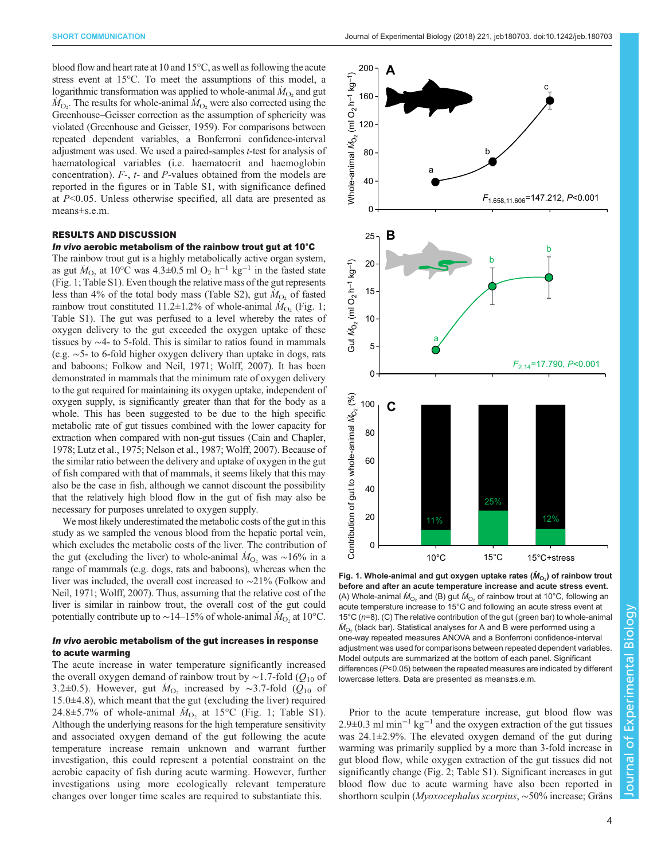<span id="page-3-0"></span>blood flow and heart rate at 10 and 15°C, as well as following the acute stress event at 15°C. To meet the assumptions of this model, a logarithmic transformation was applied to whole-animal  $\dot{M}_{\rm O_2}$  and gut  $\dot{M}_{\text{O}_2}$ . The results for whole-animal  $\dot{M}_{\text{O}_2}$  were also corrected using the Greenhouse–Geisser correction as the assumption of sphericity was violated [\(Greenhouse and Geisser, 1959\)](#page-5-0). For comparisons between repeated dependent variables, a Bonferroni confidence-interval adjustment was used. We used a paired-samples t-test for analysis of haematological variables (i.e. haematocrit and haemoglobin concentration). F-, t- and P-values obtained from the models are reported in the figures or in [Table S1](http://jeb.biologists.org/lookup/doi/10.1242/jeb.180703.supplemental), with significance defined at P<0.05. Unless otherwise specified, all data are presented as means±s.e.m.

## RESULTS AND DISCUSSION

#### In vivo aerobic metabolism of the rainbow trout gut at 10°C

The rainbow trout gut is a highly metabolically active organ system, as gut  $\dot{M}_{\text{O}_2}$  at 10°C was 4.3±0.5 ml O<sub>2</sub> h<sup>-1</sup> kg<sup>-1</sup> in the fasted state (Fig. 1; [Table S1](http://jeb.biologists.org/lookup/doi/10.1242/jeb.180703.supplemental)). Even though the relative mass of the gut represents less than 4% of the total body mass [\(Table S2](http://jeb.biologists.org/lookup/doi/10.1242/jeb.180703.supplemental)), gut  $\dot{M}_{\text{O}_2}$  of fasted rainbow trout constituted 11.2±1.2% of whole-animal  $\dot{M}_{\text{O}_2}$  (Fig. 1; [Table S1\)](http://jeb.biologists.org/lookup/doi/10.1242/jeb.180703.supplemental). The gut was perfused to a level whereby the rates of oxygen delivery to the gut exceeded the oxygen uptake of these tissues by ∼4- to 5-fold. This is similar to ratios found in mammals (e.g. ∼5- to 6-fold higher oxygen delivery than uptake in dogs, rats and baboons; [Folkow and Neil, 1971; Wolff, 2007\)](#page-5-0). It has been demonstrated in mammals that the minimum rate of oxygen delivery to the gut required for maintaining its oxygen uptake, independent of oxygen supply, is significantly greater than that for the body as a whole. This has been suggested to be due to the high specific metabolic rate of gut tissues combined with the lower capacity for extraction when compared with non-gut tissues [\(Cain and Chapler,](#page-5-0) [1978; Lutz et al., 1975](#page-5-0); [Nelson et al., 1987](#page-5-0); [Wolff, 2007](#page-5-0)). Because of the similar ratio between the delivery and uptake of oxygen in the gut of fish compared with that of mammals, it seems likely that this may also be the case in fish, although we cannot discount the possibility that the relatively high blood flow in the gut of fish may also be necessary for purposes unrelated to oxygen supply.

We most likely underestimated the metabolic costs of the gut in this study as we sampled the venous blood from the hepatic portal vein, which excludes the metabolic costs of the liver. The contribution of the gut (excluding the liver) to whole-animal  $\dot{M}_{\text{O}_2}$  was ~16% in a range of mammals (e.g. dogs, rats and baboons), whereas when the liver was included, the overall cost increased to ∼21% [\(Folkow and](#page-5-0) [Neil, 1971; Wolff, 2007](#page-5-0)). Thus, assuming that the relative cost of the liver is similar in rainbow trout, the overall cost of the gut could potentially contribute up to ~14–15% of whole-animal  $\dot{M}_{\text{O}_2}$  at 10°C.

# In vivo aerobic metabolism of the gut increases in response to acute warming

The acute increase in water temperature significantly increased the overall oxygen demand of rainbow trout by ~1.7-fold ( $Q_{10}$  of 3.2±0.5). However, gut  $\dot{M}_{O_2}$  increased by ~3.7-fold ( $\tilde{Q}_{10}$  of 15.0±4.8), which meant that the gut (excluding the liver) required 24.8 $\pm$ 5.7% of whole-animal  $M_{\text{O}_2}$  at 15°C (Fig. 1; [Table S1](http://jeb.biologists.org/lookup/doi/10.1242/jeb.180703.supplemental)). Although the underlying reasons for the high temperature sensitivity and associated oxygen demand of the gut following the acute temperature increase remain unknown and warrant further investigation, this could represent a potential constraint on the aerobic capacity of fish during acute warming. However, further investigations using more ecologically relevant temperature changes over longer time scales are required to substantiate this.



Fig. 1. Whole-animal and gut oxygen uptake rates ( $\dot{M}_{\rm O_2}$ ) of rainbow trout before and after an acute temperature increase and acute stress event. (A) Whole-animal  $\dot{M}_{\text{O}_2}$  and (B) gut  $\dot{M}_{\text{O}_2}$  of rainbow trout at 10°C, following an acute temperature increase to 15°C and following an acute stress event at 15°C ( $n=8$ ). (C) The relative contribution of the gut (green bar) to whole-animal  $\dot{M}_{\text{O}_2}$  (black bar). Statistical analyses for A and B were performed using a one-way repeated measures ANOVA and a Bonferroni confidence-interval adjustment was used for comparisons between repeated dependent variables. Model outputs are summarized at the bottom of each panel. Significant differences (P<0.05) between the repeated measures are indicated by different lowercase letters. Data are presented as means±s.e.m.

Prior to the acute temperature increase, gut blood flow was  $2.9\pm0.3$  ml min<sup>-1</sup> kg<sup>-1</sup> and the oxygen extraction of the gut tissues was 24.1±2.9%. The elevated oxygen demand of the gut during warming was primarily supplied by a more than 3-fold increase in gut blood flow, while oxygen extraction of the gut tissues did not significantly change ([Fig. 2;](#page-4-0) [Table S1](http://jeb.biologists.org/lookup/doi/10.1242/jeb.180703.supplemental)). Significant increases in gut blood flow due to acute warming have also been reported in shorthorn sculpin (Myoxocephalus scorpius, ∼50% increase; [Gräns](#page-5-0)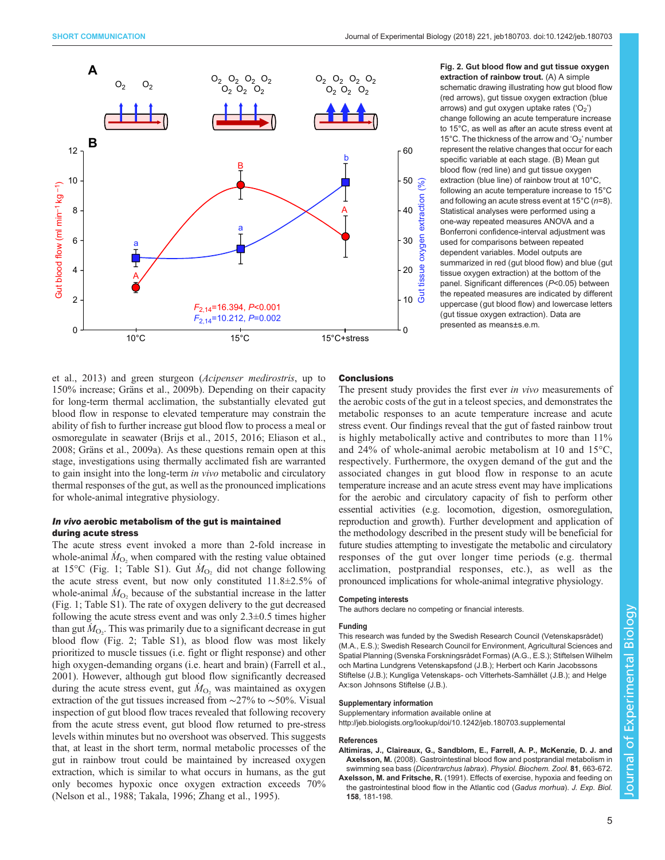<span id="page-4-0"></span>

Fig. 2. Gut blood flow and gut tissue oxygen extraction of rainbow trout. (A) A simple schematic drawing illustrating how gut blood flow (red arrows), gut tissue oxygen extraction (blue arrows) and gut oxygen uptake rates  $(°O<sub>2</sub>)$ change following an acute temperature increase to 15°C, as well as after an acute stress event at 15°C. The thickness of the arrow and 'O<sub>2</sub>' number represent the relative changes that occur for each specific variable at each stage. (B) Mean gut blood flow (red line) and gut tissue oxygen extraction (blue line) of rainbow trout at 10°C, following an acute temperature increase to 15°C and following an acute stress event at  $15^{\circ}$ C (n=8). Statistical analyses were performed using a one-way repeated measures ANOVA and a Bonferroni confidence-interval adjustment was used for comparisons between repeated dependent variables. Model outputs are summarized in red (gut blood flow) and blue (gut tissue oxygen extraction) at the bottom of the panel. Significant differences (P<0.05) between the repeated measures are indicated by different uppercase (gut blood flow) and lowercase letters (gut tissue oxygen extraction). Data are presented as means±s.e.m.

[et al., 2013\)](#page-5-0) and green sturgeon (Acipenser medirostris, up to 150% increase; [Gräns et al., 2009b](#page-5-0)). Depending on their capacity for long-term thermal acclimation, the substantially elevated gut blood flow in response to elevated temperature may constrain the ability of fish to further increase gut blood flow to process a meal or osmoregulate in seawater ([Brijs et al., 2015](#page-5-0), [2016](#page-5-0); [Eliason et al.,](#page-5-0) [2008](#page-5-0); [Gräns et al., 2009a\)](#page-5-0). As these questions remain open at this stage, investigations using thermally acclimated fish are warranted to gain insight into the long-term in vivo metabolic and circulatory thermal responses of the gut, as well as the pronounced implications for whole-animal integrative physiology.

# In vivo aerobic metabolism of the gut is maintained during acute stress

The acute stress event invoked a more than 2-fold increase in whole-animal  $\dot{M}_{\text{O}_2}$  when compared with the resting value obtained at 15°C ([Fig. 1;](#page-3-0) [Table S1](http://jeb.biologists.org/lookup/doi/10.1242/jeb.180703.supplemental)). Gut  $\dot{M}_{\text{O}_2}$  did not change following the acute stress event, but now only constituted 11.8±2.5% of whole-animal  $\dot{M}_{\text{O}_2}$  because of the substantial increase in the latter [\(Fig. 1](#page-3-0); [Table S1](http://jeb.biologists.org/lookup/doi/10.1242/jeb.180703.supplemental)). The rate of oxygen delivery to the gut decreased following the acute stress event and was only  $2.3\pm0.5$  times higher than gut  $M_{\text{O}_2}$ . This was primarily due to a significant decrease in gut blood flow (Fig. 2; [Table S1](http://jeb.biologists.org/lookup/doi/10.1242/jeb.180703.supplemental)), as blood flow was most likely prioritized to muscle tissues (i.e. fight or flight response) and other high oxygen-demanding organs (i.e. heart and brain) [\(Farrell et al.,](#page-5-0) [2001](#page-5-0)). However, although gut blood flow significantly decreased during the acute stress event, gut  $\dot{M}_{\text{O}_2}$  was maintained as oxygen extraction of the gut tissues increased from ∼27% to ∼50%. Visual inspection of gut blood flow traces revealed that following recovery from the acute stress event, gut blood flow returned to pre-stress levels within minutes but no overshoot was observed. This suggests that, at least in the short term, normal metabolic processes of the gut in rainbow trout could be maintained by increased oxygen extraction, which is similar to what occurs in humans, as the gut only becomes hypoxic once oxygen extraction exceeds 70% [\(Nelson et al., 1988](#page-5-0); [Takala, 1996; Zhang et al., 1995](#page-5-0)).

# **Conclusions**

The present study provides the first ever *in vivo* measurements of the aerobic costs of the gut in a teleost species, and demonstrates the metabolic responses to an acute temperature increase and acute stress event. Our findings reveal that the gut of fasted rainbow trout is highly metabolically active and contributes to more than 11% and 24% of whole-animal aerobic metabolism at 10 and 15°C, respectively. Furthermore, the oxygen demand of the gut and the associated changes in gut blood flow in response to an acute temperature increase and an acute stress event may have implications for the aerobic and circulatory capacity of fish to perform other essential activities (e.g. locomotion, digestion, osmoregulation, reproduction and growth). Further development and application of the methodology described in the present study will be beneficial for future studies attempting to investigate the metabolic and circulatory responses of the gut over longer time periods (e.g. thermal acclimation, postprandial responses, etc.), as well as the pronounced implications for whole-animal integrative physiology.

## Competing interests

The authors declare no competing or financial interests.

#### Funding

This research was funded by the Swedish Research Council (Vetenskapsrådet) (M.A., E.S.); Swedish Research Council for Environment, Agricultural Sciences and Spatial Planning (Svenska Forskningsrådet Formas) (A.G., E.S.); Stiftelsen Wilhelm och Martina Lundgrens Vetenskapsfond (J.B.); Herbert och Karin Jacobssons Stiftelse (J.B.); Kungliga Vetenskaps- och Vitterhets-Samhället (J.B.); and Helge Ax:son Johnsons Stiftelse (J.B.).

#### Supplementary information

Supplementary information available online at <http://jeb.biologists.org/lookup/doi/10.1242/jeb.180703.supplemental>

#### References

- [Altimiras, J., Claireaux, G., Sandblom, E., Farrell, A. P., McKenzie, D. J. and](http://dx.doi.org/10.1086/588488) Axelsson, M. [\(2008\). Gastrointestinal blood flow and postprandial metabolism in](http://dx.doi.org/10.1086/588488) swimming sea bass (Dicentrarchus labrax). [Physiol. Biochem. Zool.](http://dx.doi.org/10.1086/588488) 81, 663-672.
- Axelsson, M. and Fritsche, R. (1991). Effects of exercise, hypoxia and feeding on the gastrointestinal blood flow in the Atlantic cod (Gadus morhua). J. Exp. Biol. 158, 181-198.